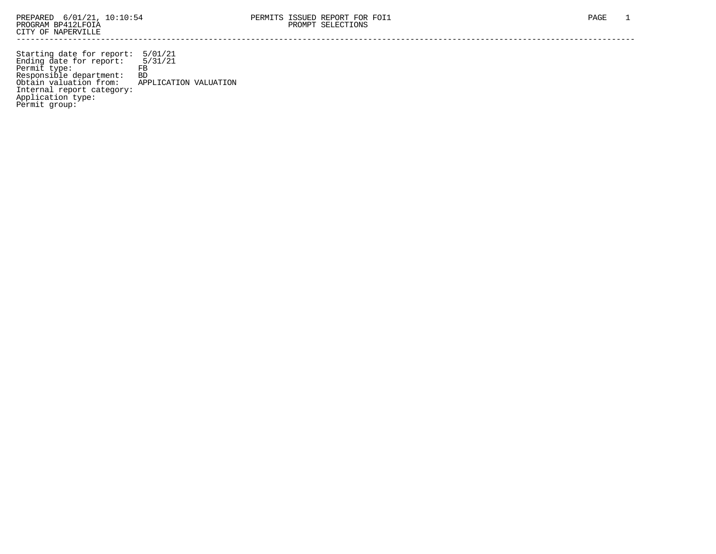Starting date for report: 5/01/21 Ending date for report: 5/31/21 Permit type: FB Responsible department: BD Obtain valuation from: APPLICATION VALUATION Internal report category: Application type: Permit group: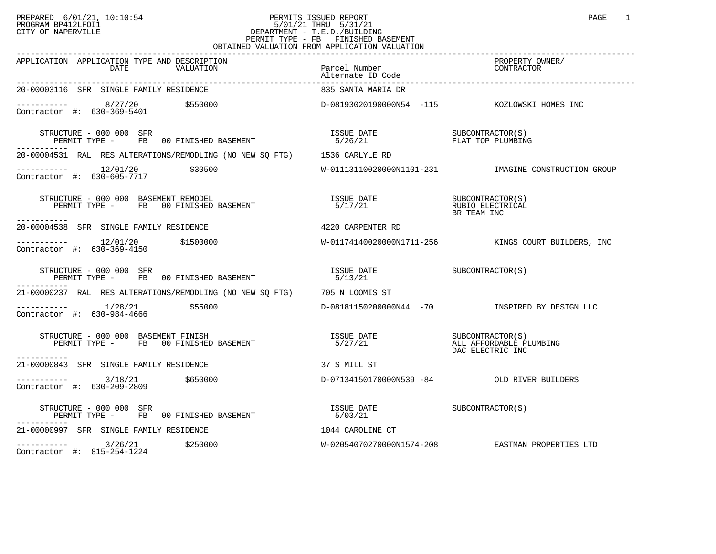## PREPARED 6/01/21, 10:10:54 PERMITS ISSUED REPORT<br>PROGRAM BP412LFOI1 PAGE 1 PROGRAM BP412LFOI1 5/01/21 THRU 5/31/21 CITY OF NAPERVILLE **Example 20** CITY OF NAPERVILLE PERMIT TYPE - FB FINISHED BASEMENT OBTAINED VALUATION FROM APPLICATION VALUATION

| APPLICATION APPLICATION TYPE AND DESCRIPTION<br>DATE VALUATION                                                                                | Parcel Number<br>Alternate ID Gods<br>Alternate ID Code | PROPERTY OWNER/<br>CONTRACTOR                            |
|-----------------------------------------------------------------------------------------------------------------------------------------------|---------------------------------------------------------|----------------------------------------------------------|
| 20-00003116 SFR SINGLE FAMILY RESIDENCE                                                                                                       | 835 SANTA MARIA DR                                      |                                                          |
|                                                                                                                                               |                                                         |                                                          |
| STRUCTURE - 000 000 SFR<br>PERMIT TYPE - FB 00 FINISHED BASEMENT                                                                              |                                                         | FLAT TOP PLUMBING                                        |
| 20-00004531 RAL RES ALTERATIONS/REMODLING (NO NEW SQ FTG) 1536 CARLYLE RD                                                                     |                                                         |                                                          |
| $\begin{array}{cccc}\n-2 & -2 & -2 & -2 \\ \text{Contractor} & +2 & 630 - 605 - 7717 & & \text{$$30500} \\ \end{array}$                       |                                                         | W-01113110020000N1101-231 IMAGINE CONSTRUCTION GROUP     |
| STRUCTURE - 000 000 BASEMENT REMODEL<br>PERMIT TYPE - FB 00 FINISHED BASEMENT                                                                 |                                                         | BR TEAM INC                                              |
| 20-00004538 SFR SINGLE FAMILY RESIDENCE                                                                                                       | 4220 CARPENTER RD                                       |                                                          |
| $\begin{tabular}{ll} \texttt{----------} & 12/01/20 & \texttt{\$1500000} \\ \texttt{Contractor} & \texttt{#:} & 630-369-4150 & \end{tabular}$ |                                                         | W-01174140020000N1711-256 KINGS COURT BUILDERS, INC      |
| STRUCTURE - 000 000 SFR<br>PERMIT TYPE - FB 00 FINISHED BASEMENT                                                                              | ISSUE DATE SUBCONTRACTOR(S)<br>5/13/21                  |                                                          |
| 21-00000237 RAL RES ALTERATIONS/REMODLING (NO NEW SQ FTG) 705 N LOOMIS ST                                                                     |                                                         |                                                          |
| Contractor #: 630-984-4666                                                                                                                    |                                                         | D-08181150200000N44 -70           INSPIRED BY DESIGN LLC |
| STRUCTURE - 000 000 BASEMENT FINISH<br>PERMIT TYPE - FB 00 FINISHED BASEMENT<br>-----------                                                   | ISSUE DATE SUBCONTRACTOR(S)<br>5/27/21                  | ALL AFFORDABLE PLUMBING<br>DAC ELECTRIC INC              |
| 21-00000843 SFR SINGLE FAMILY RESIDENCE                                                                                                       | 37 S MILL ST                                            |                                                          |
| $---------$ 3/18/21 \$650000<br>Contractor #: 630-209-2809                                                                                    |                                                         | D-07134150170000N539 -84 OLD RIVER BUILDERS              |
| STRUCTURE - 000 000 SFR<br>PERMIT TYPE - FB 00 FINISHED BASEMENT                                                                              | ISSUE DATE SUBCONTRACTOR(S)<br>5/03/21                  |                                                          |
| 21-00000997 SFR SINGLE FAMILY RESIDENCE                                                                                                       | 1044 CAROLINE CT                                        |                                                          |
| $--------$ 3/26/21 \$250000<br>Contractor #: 815-254-1224                                                                                     |                                                         | W-02054070270000N1574-208 EASTMAN PROPERTIES LTD         |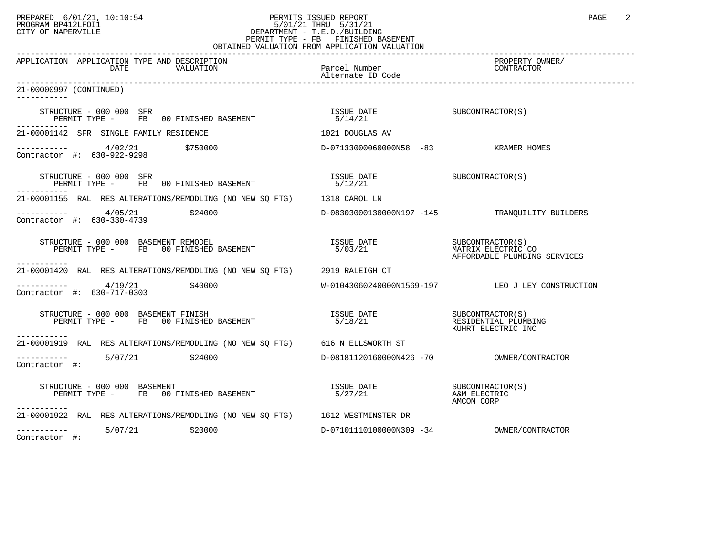## PREPARED 6/01/21, 10:10:54 PERMITS ISSUED REPORT PAGE 2<br>PROGRAM BP412LFOI1 PROGRAM PROGRAM BP412LFOI1 PROGRAM BP412LFOI1 5/01/21 THRU 5/31/21 CITY OF NAPERVILLE **Example 20** CITY OF NAPERVILLE PERMIT TYPE - FB FINISHED BASEMENT OBTAINED VALUATION FROM APPLICATION VALUATION

| APPLICATION APPLICATION TYPE AND DESCRIPTION<br>VALUATION<br>DATE                                                                                                                                                                                                                                                       | Parcel Number                                                                                                                                                                        | PROPERTY OWNER/<br>CONTRACTOR                    |
|-------------------------------------------------------------------------------------------------------------------------------------------------------------------------------------------------------------------------------------------------------------------------------------------------------------------------|--------------------------------------------------------------------------------------------------------------------------------------------------------------------------------------|--------------------------------------------------|
| 21-00000997 (CONTINUED)                                                                                                                                                                                                                                                                                                 |                                                                                                                                                                                      |                                                  |
| STRUCTURE - 000 000 SFR<br>RUCIURE - 000 000 SER<br>PERMIT TYPE -     FB   00 FINISHED BASEMENT                                                                                                                                                                                                                         | ISSUE DATE<br>5/14/21                                                                                                                                                                | SUBCONTRACTOR(S)                                 |
| -----------<br>21-00001142 SFR SINGLE FAMILY RESIDENCE                                                                                                                                                                                                                                                                  | 1021 DOUGLAS AV                                                                                                                                                                      |                                                  |
| $\begin{array}{cccc}\n-2 & -2 & -2 & -2 \\ \text{Contractor} & +2 & 630 - 922 - 9298 & & 750000\n\end{array}$                                                                                                                                                                                                           | D-07133000060000N58 -83 KRAMER HOMES                                                                                                                                                 |                                                  |
| STRUCTURE - 000 000 SFR<br>STRUCTURE - 000 000 SFR<br>PERMIT TYPE -        FB   00 FINISHED BASEMENT                                                                                                                                                                                                                    | $\begin{array}{ll}\n\text{ISSUE} & \text{DATE} \\ \hline\n5 \quad \text{(1 2 1 2 1)}\n\end{array} \qquad \qquad \begin{array}{ll}\n\text{SUBCONTRACTOR (S)}\n\end{array}$<br>5/12/21 |                                                  |
| 21-00001155 RAL RES ALTERATIONS/REMODLING (NO NEW SO FTG) 1318 CAROL LN                                                                                                                                                                                                                                                 |                                                                                                                                                                                      |                                                  |
| $\frac{4}{05/21}$ \$24000<br>Contractor #: 630-330-4739                                                                                                                                                                                                                                                                 |                                                                                                                                                                                      | D-08303000130000N197 -145 TRANQUILITY BUILDERS   |
| STRUCTURE - 000 000 BASEMENT REMODEL<br>PERMIT TYPE - FB 00 FINISHED BASEMENT                                                                                                                                                                                                                                           |                                                                                                                                                                                      | AFFORDABLE PLUMBING SERVICES                     |
| 21-00001420 RAL RES ALTERATIONS/REMODLING (NO NEW SO FTG) 2919 RALEIGH CT                                                                                                                                                                                                                                               |                                                                                                                                                                                      |                                                  |
| $\frac{4}{19/21}$ \$40000<br>Contractor #: 630-717-0303                                                                                                                                                                                                                                                                 |                                                                                                                                                                                      | W-01043060240000N1569-197 LEO J LEY CONSTRUCTION |
| $\begin{minipage}{0.9\linewidth} \texttt{STRUCTURE} - 000 000 \texttt{BASEMENT} \texttt{FINISH} \end{minipage} \begin{minipage}{0.9\linewidth} \texttt{TSSUE} \texttt{DATE} \end{minipage} \begin{minipage}{0.9\linewidth} \texttt{STRUCTOR(S)} \end{minipage}$<br>PERMIT TYPE - FB 00 FINISHED BASEMENT<br>----------- | 5/18/21                                                                                                                                                                              | RESIDENTIAL PLUMBING<br>KUHRT ELECTRIC INC       |
| 21-00001919 RAL RES ALTERATIONS/REMODLING (NO NEW SO FTG) 616 N ELLSWORTH ST                                                                                                                                                                                                                                            |                                                                                                                                                                                      |                                                  |
| $---------$ 5/07/21 \$24000<br>Contractor #:                                                                                                                                                                                                                                                                            |                                                                                                                                                                                      |                                                  |
| STRUCTURE - 000 000 BASEMENT<br>PERMIT TYPE - FB 00 FINISHED BASEMENT<br>STRUCTURE - 000 000 BASEMENT<br>-----------                                                                                                                                                                                                    |                                                                                                                                                                                      | AMCON CORP                                       |
| 21-00001922 RAL RES ALTERATIONS/REMODLING (NO NEW SQ FTG) 1612 WESTMINSTER DR                                                                                                                                                                                                                                           |                                                                                                                                                                                      |                                                  |
| $---------$ 5/07/21 \$20000<br>Contractor #:                                                                                                                                                                                                                                                                            |                                                                                                                                                                                      |                                                  |